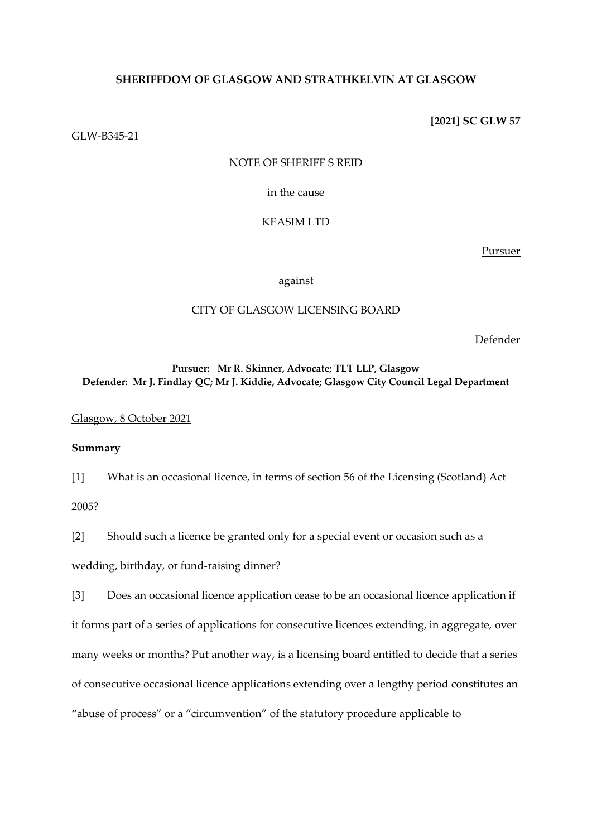## **SHERIFFDOM OF GLASGOW AND STRATHKELVIN AT GLASGOW**

GLW-B345-21

**[2021] SC GLW 57**

### NOTE OF SHERIFF S REID

in the cause

### KEASIM LTD

Pursuer

against

## CITY OF GLASGOW LICENSING BOARD

Defender

## **Pursuer: Mr R. Skinner, Advocate; TLT LLP, Glasgow Defender: Mr J. Findlay QC; Mr J. Kiddie, Advocate; Glasgow City Council Legal Department**

Glasgow, 8 October 2021

## **Summary**

[1] What is an occasional licence, in terms of section 56 of the Licensing (Scotland) Act 2005?

[2] Should such a licence be granted only for a special event or occasion such as a wedding, birthday, or fund-raising dinner?

[3] Does an occasional licence application cease to be an occasional licence application if it forms part of a series of applications for consecutive licences extending, in aggregate, over many weeks or months? Put another way, is a licensing board entitled to decide that a series of consecutive occasional licence applications extending over a lengthy period constitutes an "abuse of process" or a "circumvention" of the statutory procedure applicable to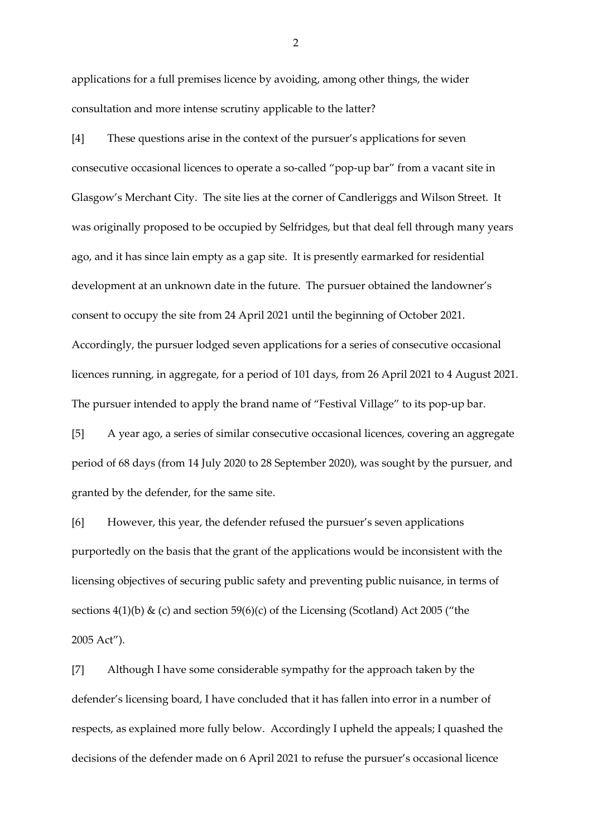applications for a full premises licence by avoiding, among other things, the wider consultation and more intense scrutiny applicable to the latter?

[4] These questions arise in the context of the pursuer's applications for seven consecutive occasional licences to operate a so-called "pop-up bar" from a vacant site in Glasgow's Merchant City. The site lies at the corner of Candleriggs and Wilson Street. It was originally proposed to be occupied by Selfridges, but that deal fell through many years ago, and it has since lain empty as a gap site. It is presently earmarked for residential development at an unknown date in the future. The pursuer obtained the landowner's consent to occupy the site from 24 April 2021 until the beginning of October 2021. Accordingly, the pursuer lodged seven applications for a series of consecutive occasional licences running, in aggregate, for a period of 101 days, from 26 April 2021 to 4 August 2021. The pursuer intended to apply the brand name of "Festival Village" to its pop-up bar.

[5] A year ago, a series of similar consecutive occasional licences, covering an aggregate period of 68 days (from 14 July 2020 to 28 September 2020), was sought by the pursuer, and granted by the defender, for the same site.

[6] However, this year, the defender refused the pursuer's seven applications purportedly on the basis that the grant of the applications would be inconsistent with the licensing objectives of securing public safety and preventing public nuisance, in terms of sections 4(1)(b) & (c) and section 59(6)(c) of the Licensing (Scotland) Act 2005 ("the 2005 Act").

[7] Although I have some considerable sympathy for the approach taken by the defender's licensing board, I have concluded that it has fallen into error in a number of respects, as explained more fully below. Accordingly I upheld the appeals; I quashed the decisions of the defender made on 6 April 2021 to refuse the pursuer's occasional licence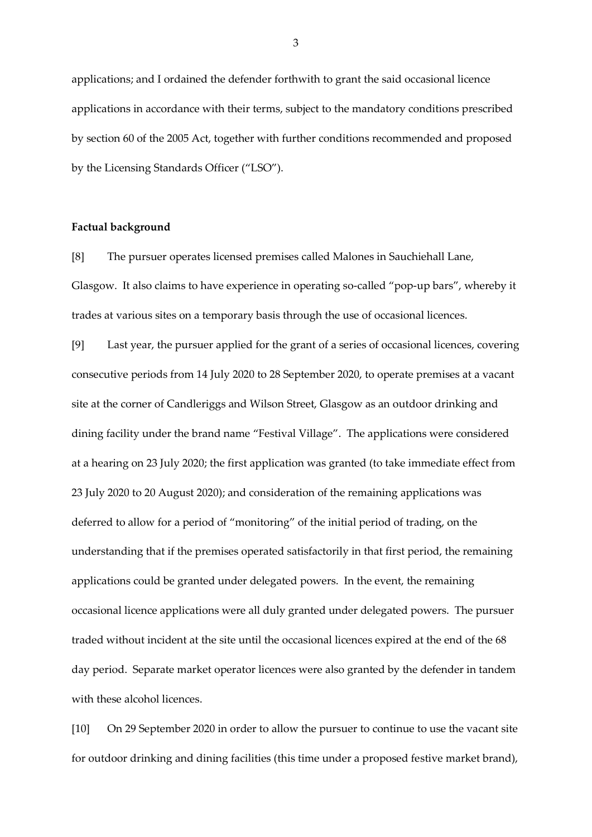applications; and I ordained the defender forthwith to grant the said occasional licence applications in accordance with their terms, subject to the mandatory conditions prescribed by section 60 of the 2005 Act, together with further conditions recommended and proposed by the Licensing Standards Officer ("LSO").

### **Factual background**

[8] The pursuer operates licensed premises called Malones in Sauchiehall Lane, Glasgow. It also claims to have experience in operating so-called "pop-up bars", whereby it trades at various sites on a temporary basis through the use of occasional licences.

[9] Last year, the pursuer applied for the grant of a series of occasional licences, covering consecutive periods from 14 July 2020 to 28 September 2020, to operate premises at a vacant site at the corner of Candleriggs and Wilson Street, Glasgow as an outdoor drinking and dining facility under the brand name "Festival Village". The applications were considered at a hearing on 23 July 2020; the first application was granted (to take immediate effect from 23 July 2020 to 20 August 2020); and consideration of the remaining applications was deferred to allow for a period of "monitoring" of the initial period of trading, on the understanding that if the premises operated satisfactorily in that first period, the remaining applications could be granted under delegated powers. In the event, the remaining occasional licence applications were all duly granted under delegated powers. The pursuer traded without incident at the site until the occasional licences expired at the end of the 68 day period. Separate market operator licences were also granted by the defender in tandem with these alcohol licences.

[10] On 29 September 2020 in order to allow the pursuer to continue to use the vacant site for outdoor drinking and dining facilities (this time under a proposed festive market brand),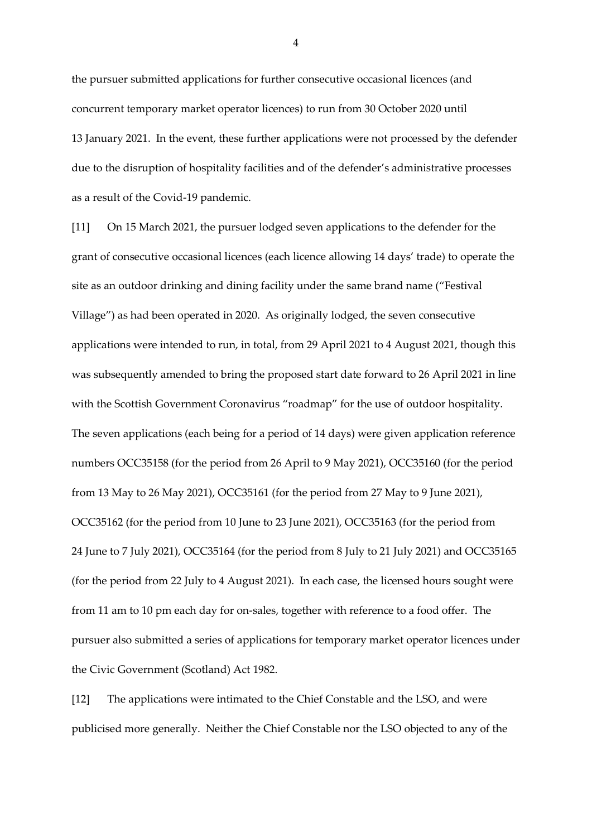the pursuer submitted applications for further consecutive occasional licences (and concurrent temporary market operator licences) to run from 30 October 2020 until 13 January 2021. In the event, these further applications were not processed by the defender due to the disruption of hospitality facilities and of the defender's administrative processes as a result of the Covid-19 pandemic.

[11] On 15 March 2021, the pursuer lodged seven applications to the defender for the grant of consecutive occasional licences (each licence allowing 14 days' trade) to operate the site as an outdoor drinking and dining facility under the same brand name ("Festival Village") as had been operated in 2020. As originally lodged, the seven consecutive applications were intended to run, in total, from 29 April 2021 to 4 August 2021, though this was subsequently amended to bring the proposed start date forward to 26 April 2021 in line with the Scottish Government Coronavirus "roadmap" for the use of outdoor hospitality. The seven applications (each being for a period of 14 days) were given application reference numbers OCC35158 (for the period from 26 April to 9 May 2021), OCC35160 (for the period from 13 May to 26 May 2021), OCC35161 (for the period from 27 May to 9 June 2021), OCC35162 (for the period from 10 June to 23 June 2021), OCC35163 (for the period from 24 June to 7 July 2021), OCC35164 (for the period from 8 July to 21 July 2021) and OCC35165 (for the period from 22 July to 4 August 2021). In each case, the licensed hours sought were from 11 am to 10 pm each day for on-sales, together with reference to a food offer. The pursuer also submitted a series of applications for temporary market operator licences under the Civic Government (Scotland) Act 1982.

[12] The applications were intimated to the Chief Constable and the LSO, and were publicised more generally. Neither the Chief Constable nor the LSO objected to any of the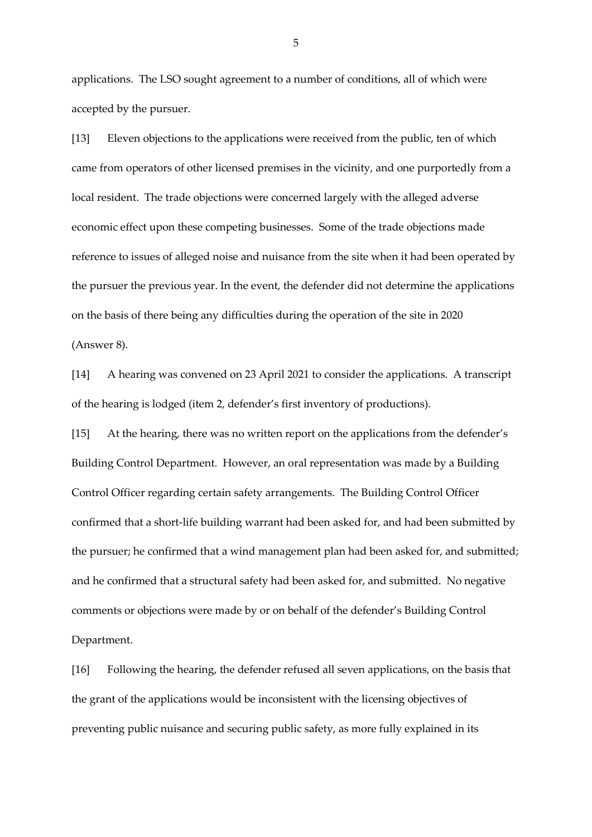applications. The LSO sought agreement to a number of conditions, all of which were accepted by the pursuer.

[13] Eleven objections to the applications were received from the public, ten of which came from operators of other licensed premises in the vicinity, and one purportedly from a local resident. The trade objections were concerned largely with the alleged adverse economic effect upon these competing businesses. Some of the trade objections made reference to issues of alleged noise and nuisance from the site when it had been operated by the pursuer the previous year. In the event, the defender did not determine the applications on the basis of there being any difficulties during the operation of the site in 2020 (Answer 8).

[14] A hearing was convened on 23 April 2021 to consider the applications. A transcript of the hearing is lodged (item 2, defender's first inventory of productions).

[15] At the hearing, there was no written report on the applications from the defender's Building Control Department. However, an oral representation was made by a Building Control Officer regarding certain safety arrangements. The Building Control Officer confirmed that a short-life building warrant had been asked for, and had been submitted by the pursuer; he confirmed that a wind management plan had been asked for, and submitted; and he confirmed that a structural safety had been asked for, and submitted. No negative comments or objections were made by or on behalf of the defender's Building Control Department.

[16] Following the hearing, the defender refused all seven applications, on the basis that the grant of the applications would be inconsistent with the licensing objectives of preventing public nuisance and securing public safety, as more fully explained in its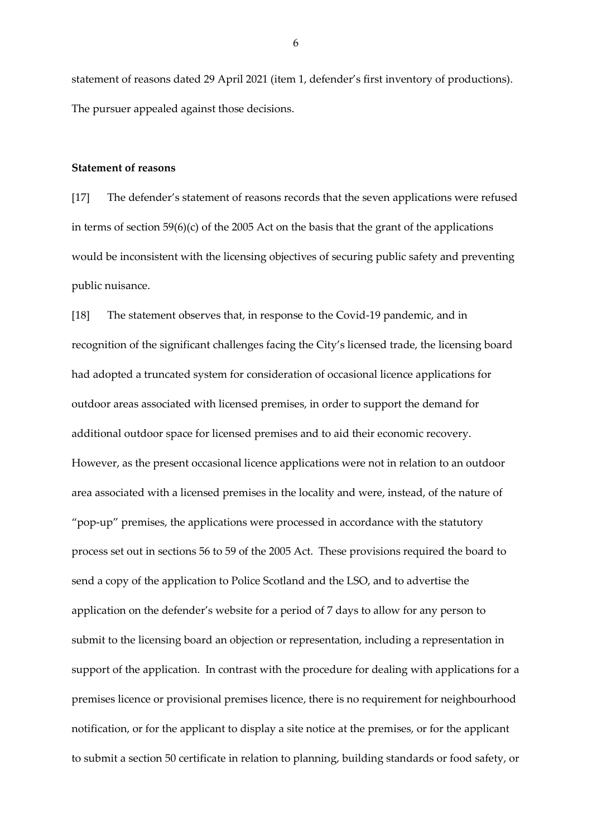statement of reasons dated 29 April 2021 (item 1, defender's first inventory of productions). The pursuer appealed against those decisions.

#### **Statement of reasons**

[17] The defender's statement of reasons records that the seven applications were refused in terms of section 59(6)(c) of the 2005 Act on the basis that the grant of the applications would be inconsistent with the licensing objectives of securing public safety and preventing public nuisance.

[18] The statement observes that, in response to the Covid-19 pandemic, and in recognition of the significant challenges facing the City's licensed trade, the licensing board had adopted a truncated system for consideration of occasional licence applications for outdoor areas associated with licensed premises, in order to support the demand for additional outdoor space for licensed premises and to aid their economic recovery. However, as the present occasional licence applications were not in relation to an outdoor area associated with a licensed premises in the locality and were, instead, of the nature of "pop-up" premises, the applications were processed in accordance with the statutory process set out in sections 56 to 59 of the 2005 Act. These provisions required the board to send a copy of the application to Police Scotland and the LSO, and to advertise the application on the defender's website for a period of 7 days to allow for any person to submit to the licensing board an objection or representation, including a representation in support of the application. In contrast with the procedure for dealing with applications for a premises licence or provisional premises licence, there is no requirement for neighbourhood notification, or for the applicant to display a site notice at the premises, or for the applicant to submit a section 50 certificate in relation to planning, building standards or food safety, or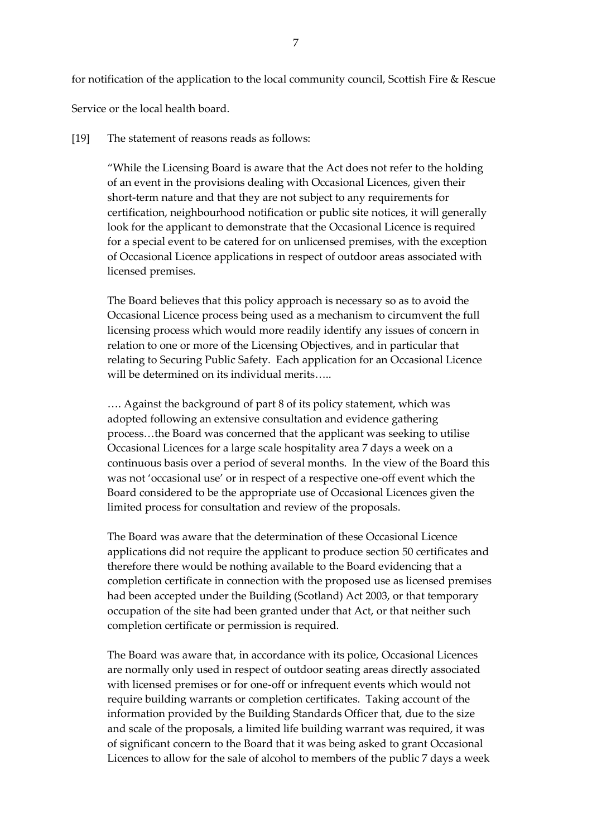for notification of the application to the local community council, Scottish Fire & Rescue

Service or the local health board.

#### [19] The statement of reasons reads as follows:

"While the Licensing Board is aware that the Act does not refer to the holding of an event in the provisions dealing with Occasional Licences, given their short-term nature and that they are not subject to any requirements for certification, neighbourhood notification or public site notices, it will generally look for the applicant to demonstrate that the Occasional Licence is required for a special event to be catered for on unlicensed premises, with the exception of Occasional Licence applications in respect of outdoor areas associated with licensed premises.

The Board believes that this policy approach is necessary so as to avoid the Occasional Licence process being used as a mechanism to circumvent the full licensing process which would more readily identify any issues of concern in relation to one or more of the Licensing Objectives, and in particular that relating to Securing Public Safety. Each application for an Occasional Licence will be determined on its individual merits…..

…. Against the background of part 8 of its policy statement, which was adopted following an extensive consultation and evidence gathering process…the Board was concerned that the applicant was seeking to utilise Occasional Licences for a large scale hospitality area 7 days a week on a continuous basis over a period of several months. In the view of the Board this was not 'occasional use' or in respect of a respective one-off event which the Board considered to be the appropriate use of Occasional Licences given the limited process for consultation and review of the proposals.

The Board was aware that the determination of these Occasional Licence applications did not require the applicant to produce section 50 certificates and therefore there would be nothing available to the Board evidencing that a completion certificate in connection with the proposed use as licensed premises had been accepted under the Building (Scotland) Act 2003, or that temporary occupation of the site had been granted under that Act, or that neither such completion certificate or permission is required.

The Board was aware that, in accordance with its police, Occasional Licences are normally only used in respect of outdoor seating areas directly associated with licensed premises or for one-off or infrequent events which would not require building warrants or completion certificates. Taking account of the information provided by the Building Standards Officer that, due to the size and scale of the proposals, a limited life building warrant was required, it was of significant concern to the Board that it was being asked to grant Occasional Licences to allow for the sale of alcohol to members of the public 7 days a week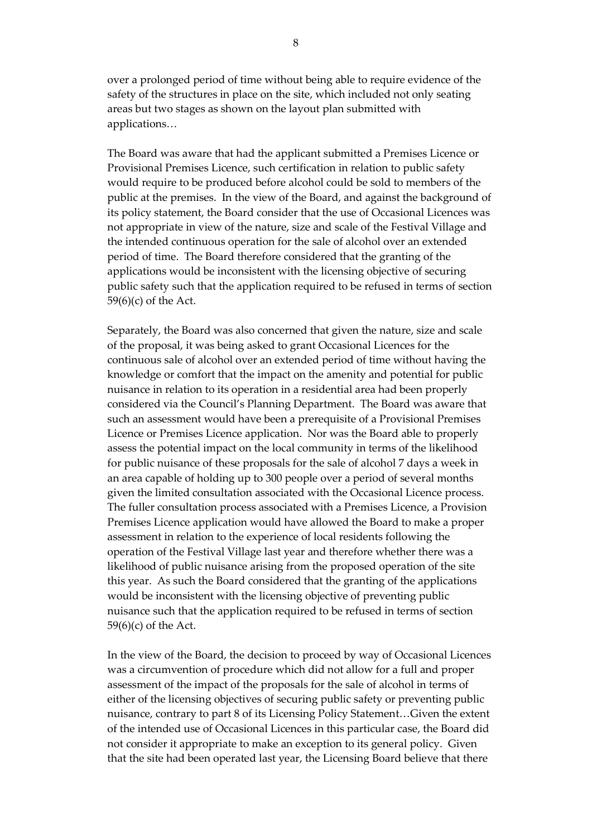over a prolonged period of time without being able to require evidence of the safety of the structures in place on the site, which included not only seating areas but two stages as shown on the layout plan submitted with applications…

The Board was aware that had the applicant submitted a Premises Licence or Provisional Premises Licence, such certification in relation to public safety would require to be produced before alcohol could be sold to members of the public at the premises. In the view of the Board, and against the background of its policy statement, the Board consider that the use of Occasional Licences was not appropriate in view of the nature, size and scale of the Festival Village and the intended continuous operation for the sale of alcohol over an extended period of time. The Board therefore considered that the granting of the applications would be inconsistent with the licensing objective of securing public safety such that the application required to be refused in terms of section 59(6)(c) of the Act.

Separately, the Board was also concerned that given the nature, size and scale of the proposal, it was being asked to grant Occasional Licences for the continuous sale of alcohol over an extended period of time without having the knowledge or comfort that the impact on the amenity and potential for public nuisance in relation to its operation in a residential area had been properly considered via the Council's Planning Department. The Board was aware that such an assessment would have been a prerequisite of a Provisional Premises Licence or Premises Licence application. Nor was the Board able to properly assess the potential impact on the local community in terms of the likelihood for public nuisance of these proposals for the sale of alcohol 7 days a week in an area capable of holding up to 300 people over a period of several months given the limited consultation associated with the Occasional Licence process. The fuller consultation process associated with a Premises Licence, a Provision Premises Licence application would have allowed the Board to make a proper assessment in relation to the experience of local residents following the operation of the Festival Village last year and therefore whether there was a likelihood of public nuisance arising from the proposed operation of the site this year. As such the Board considered that the granting of the applications would be inconsistent with the licensing objective of preventing public nuisance such that the application required to be refused in terms of section 59(6)(c) of the Act.

In the view of the Board, the decision to proceed by way of Occasional Licences was a circumvention of procedure which did not allow for a full and proper assessment of the impact of the proposals for the sale of alcohol in terms of either of the licensing objectives of securing public safety or preventing public nuisance, contrary to part 8 of its Licensing Policy Statement…Given the extent of the intended use of Occasional Licences in this particular case, the Board did not consider it appropriate to make an exception to its general policy. Given that the site had been operated last year, the Licensing Board believe that there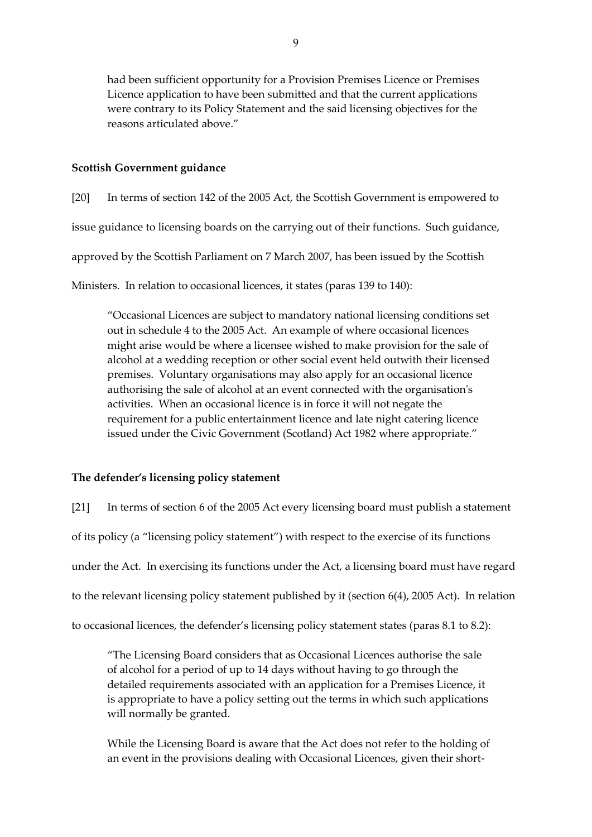had been sufficient opportunity for a Provision Premises Licence or Premises Licence application to have been submitted and that the current applications were contrary to its Policy Statement and the said licensing objectives for the reasons articulated above."

## **Scottish Government guidance**

[20] In terms of section 142 of the 2005 Act, the Scottish Government is empowered to

issue guidance to licensing boards on the carrying out of their functions. Such guidance,

approved by the Scottish Parliament on 7 March 2007, has been issued by the Scottish

Ministers. In relation to occasional licences, it states (paras 139 to 140):

"Occasional Licences are subject to mandatory national licensing conditions set out in schedule 4 to the 2005 Act. An example of where occasional licences might arise would be where a licensee wished to make provision for the sale of alcohol at a wedding reception or other social event held outwith their licensed premises. Voluntary organisations may also apply for an occasional licence authorising the sale of alcohol at an event connected with the organisation's activities. When an occasional licence is in force it will not negate the requirement for a public entertainment licence and late night catering licence issued under the Civic Government (Scotland) Act 1982 where appropriate."

## **The defender's licensing policy statement**

[21] In terms of section 6 of the 2005 Act every licensing board must publish a statement of its policy (a "licensing policy statement") with respect to the exercise of its functions under the Act. In exercising its functions under the Act, a licensing board must have regard to the relevant licensing policy statement published by it (section 6(4), 2005 Act). In relation to occasional licences, the defender's licensing policy statement states (paras 8.1 to 8.2):

"The Licensing Board considers that as Occasional Licences authorise the sale of alcohol for a period of up to 14 days without having to go through the detailed requirements associated with an application for a Premises Licence, it is appropriate to have a policy setting out the terms in which such applications will normally be granted.

While the Licensing Board is aware that the Act does not refer to the holding of an event in the provisions dealing with Occasional Licences, given their short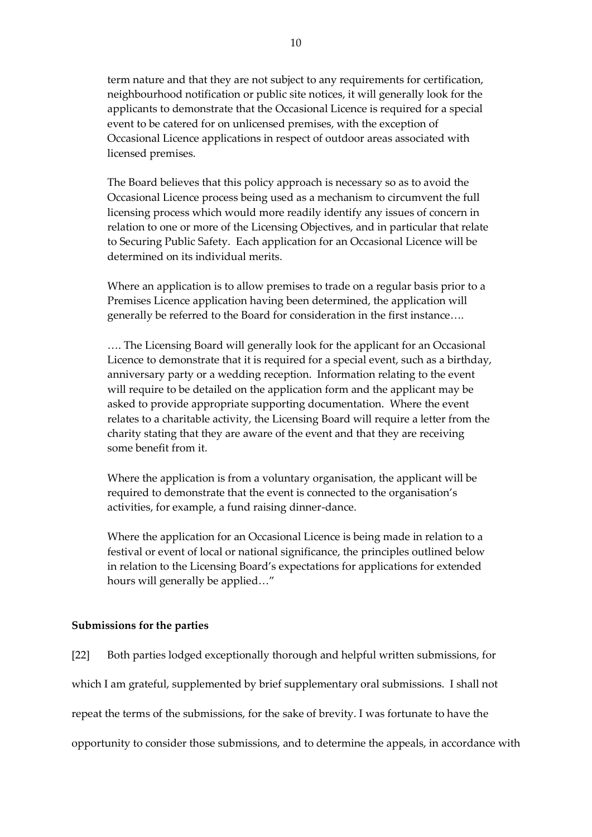term nature and that they are not subject to any requirements for certification, neighbourhood notification or public site notices, it will generally look for the applicants to demonstrate that the Occasional Licence is required for a special event to be catered for on unlicensed premises, with the exception of Occasional Licence applications in respect of outdoor areas associated with licensed premises.

The Board believes that this policy approach is necessary so as to avoid the Occasional Licence process being used as a mechanism to circumvent the full licensing process which would more readily identify any issues of concern in relation to one or more of the Licensing Objectives, and in particular that relate to Securing Public Safety. Each application for an Occasional Licence will be determined on its individual merits.

Where an application is to allow premises to trade on a regular basis prior to a Premises Licence application having been determined, the application will generally be referred to the Board for consideration in the first instance….

…. The Licensing Board will generally look for the applicant for an Occasional Licence to demonstrate that it is required for a special event, such as a birthday, anniversary party or a wedding reception. Information relating to the event will require to be detailed on the application form and the applicant may be asked to provide appropriate supporting documentation. Where the event relates to a charitable activity, the Licensing Board will require a letter from the charity stating that they are aware of the event and that they are receiving some benefit from it.

Where the application is from a voluntary organisation, the applicant will be required to demonstrate that the event is connected to the organisation's activities, for example, a fund raising dinner-dance.

Where the application for an Occasional Licence is being made in relation to a festival or event of local or national significance, the principles outlined below in relation to the Licensing Board's expectations for applications for extended hours will generally be applied…"

### **Submissions for the parties**

[22] Both parties lodged exceptionally thorough and helpful written submissions, for which I am grateful, supplemented by brief supplementary oral submissions. I shall not repeat the terms of the submissions, for the sake of brevity. I was fortunate to have the opportunity to consider those submissions, and to determine the appeals, in accordance with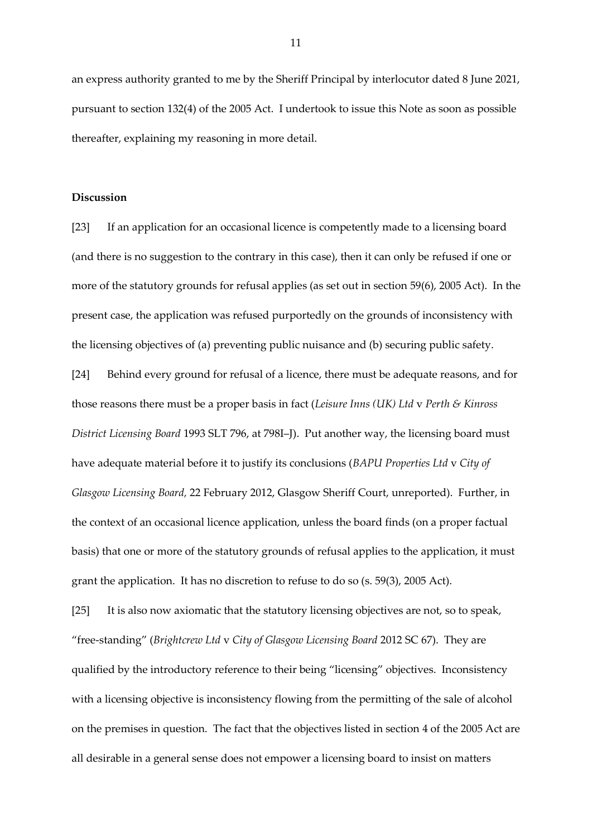an express authority granted to me by the Sheriff Principal by interlocutor dated 8 June 2021, pursuant to section 132(4) of the 2005 Act. I undertook to issue this Note as soon as possible thereafter, explaining my reasoning in more detail.

#### **Discussion**

[23] If an application for an occasional licence is competently made to a licensing board (and there is no suggestion to the contrary in this case), then it can only be refused if one or more of the statutory grounds for refusal applies (as set out in section 59(6), 2005 Act). In the present case, the application was refused purportedly on the grounds of inconsistency with the licensing objectives of (a) preventing public nuisance and (b) securing public safety.

[24] Behind every ground for refusal of a licence, there must be adequate reasons, and for those reasons there must be a proper basis in fact (*Leisure Inns (UK) Ltd* v *Perth & Kinross District Licensing Board* 1993 SLT 796, at 798I–J). Put another way, the licensing board must have adequate material before it to justify its conclusions (*BAPU Properties Ltd* v *City of Glasgow Licensing Board,* 22 February 2012, Glasgow Sheriff Court, unreported). Further, in the context of an occasional licence application, unless the board finds (on a proper factual basis) that one or more of the statutory grounds of refusal applies to the application, it must grant the application. It has no discretion to refuse to do so (s. 59(3), 2005 Act).

[25] It is also now axiomatic that the statutory licensing objectives are not, so to speak, "free-standing" (*Brightcrew Ltd* v *City of Glasgow Licensing Board* 2012 SC 67). They are qualified by the introductory reference to their being "licensing" objectives. Inconsistency with a licensing objective is inconsistency flowing from the permitting of the sale of alcohol on the premises in question. The fact that the objectives listed in section 4 of the 2005 Act are all desirable in a general sense does not empower a licensing board to insist on matters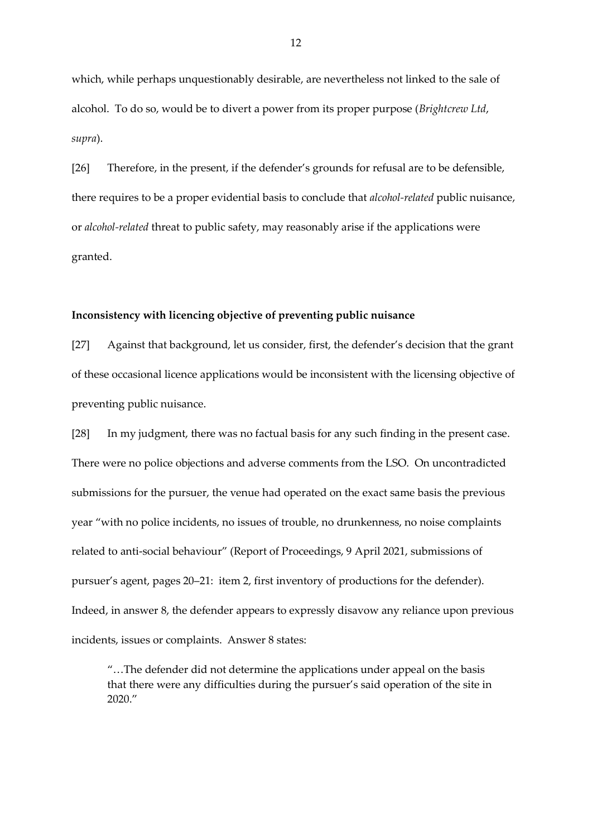which, while perhaps unquestionably desirable, are nevertheless not linked to the sale of alcohol. To do so, would be to divert a power from its proper purpose (*Brightcrew Ltd*, *supra*).

[26] Therefore, in the present, if the defender's grounds for refusal are to be defensible, there requires to be a proper evidential basis to conclude that *alcohol-related* public nuisance, or *alcohol-related* threat to public safety, may reasonably arise if the applications were granted.

### **Inconsistency with licencing objective of preventing public nuisance**

[27] Against that background, let us consider, first, the defender's decision that the grant of these occasional licence applications would be inconsistent with the licensing objective of preventing public nuisance.

[28] In my judgment, there was no factual basis for any such finding in the present case. There were no police objections and adverse comments from the LSO. On uncontradicted submissions for the pursuer, the venue had operated on the exact same basis the previous year "with no police incidents, no issues of trouble, no drunkenness, no noise complaints related to anti-social behaviour" (Report of Proceedings, 9 April 2021, submissions of pursuer's agent, pages 20–21: item 2, first inventory of productions for the defender). Indeed, in answer 8, the defender appears to expressly disavow any reliance upon previous incidents, issues or complaints. Answer 8 states:

"…The defender did not determine the applications under appeal on the basis that there were any difficulties during the pursuer's said operation of the site in  $2020$ "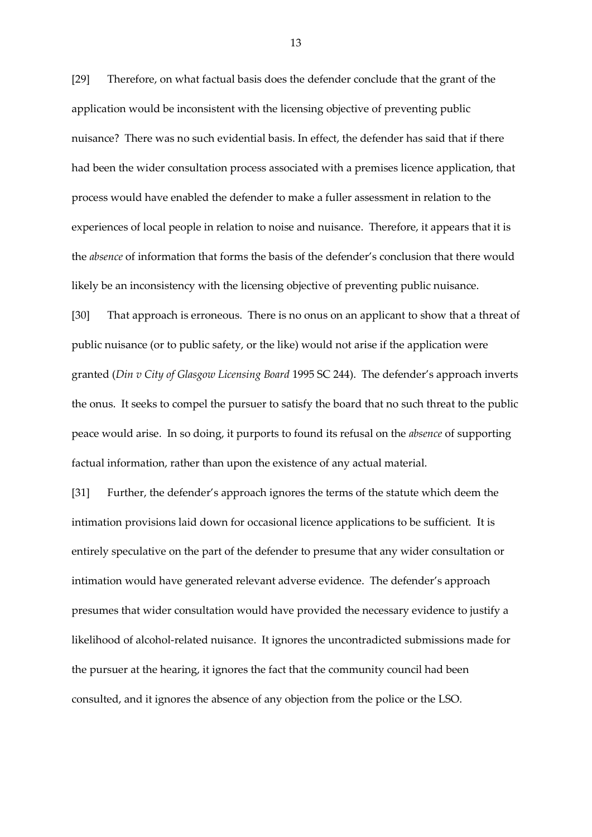[29] Therefore, on what factual basis does the defender conclude that the grant of the application would be inconsistent with the licensing objective of preventing public nuisance? There was no such evidential basis. In effect, the defender has said that if there had been the wider consultation process associated with a premises licence application, that process would have enabled the defender to make a fuller assessment in relation to the experiences of local people in relation to noise and nuisance. Therefore, it appears that it is the *absence* of information that forms the basis of the defender's conclusion that there would likely be an inconsistency with the licensing objective of preventing public nuisance.

[30] That approach is erroneous. There is no onus on an applicant to show that a threat of public nuisance (or to public safety, or the like) would not arise if the application were granted (*Din v City of Glasgow Licensing Board* 1995 SC 244). The defender's approach inverts the onus. It seeks to compel the pursuer to satisfy the board that no such threat to the public peace would arise. In so doing, it purports to found its refusal on the *absence* of supporting factual information, rather than upon the existence of any actual material.

[31] Further, the defender's approach ignores the terms of the statute which deem the intimation provisions laid down for occasional licence applications to be sufficient. It is entirely speculative on the part of the defender to presume that any wider consultation or intimation would have generated relevant adverse evidence. The defender's approach presumes that wider consultation would have provided the necessary evidence to justify a likelihood of alcohol-related nuisance. It ignores the uncontradicted submissions made for the pursuer at the hearing, it ignores the fact that the community council had been consulted, and it ignores the absence of any objection from the police or the LSO.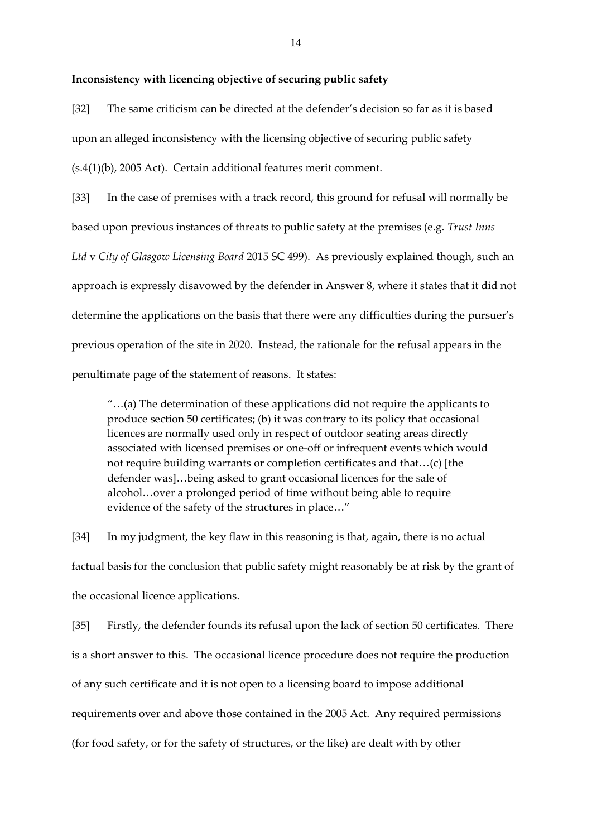# **Inconsistency with licencing objective of securing public safety**

[32] The same criticism can be directed at the defender's decision so far as it is based upon an alleged inconsistency with the licensing objective of securing public safety (s.4(1)(b), 2005 Act). Certain additional features merit comment.

[33] In the case of premises with a track record, this ground for refusal will normally be based upon previous instances of threats to public safety at the premises (e.g. *Trust Inns Ltd* v *City of Glasgow Licensing Board* 2015 SC 499). As previously explained though, such an approach is expressly disavowed by the defender in Answer 8, where it states that it did not determine the applications on the basis that there were any difficulties during the pursuer's previous operation of the site in 2020. Instead, the rationale for the refusal appears in the penultimate page of the statement of reasons. It states:

"…(a) The determination of these applications did not require the applicants to produce section 50 certificates; (b) it was contrary to its policy that occasional licences are normally used only in respect of outdoor seating areas directly associated with licensed premises or one-off or infrequent events which would not require building warrants or completion certificates and that…(c) [the defender was]…being asked to grant occasional licences for the sale of alcohol…over a prolonged period of time without being able to require evidence of the safety of the structures in place…"

[34] In my judgment, the key flaw in this reasoning is that, again, there is no actual factual basis for the conclusion that public safety might reasonably be at risk by the grant of the occasional licence applications.

[35] Firstly, the defender founds its refusal upon the lack of section 50 certificates. There is a short answer to this. The occasional licence procedure does not require the production of any such certificate and it is not open to a licensing board to impose additional requirements over and above those contained in the 2005 Act. Any required permissions (for food safety, or for the safety of structures, or the like) are dealt with by other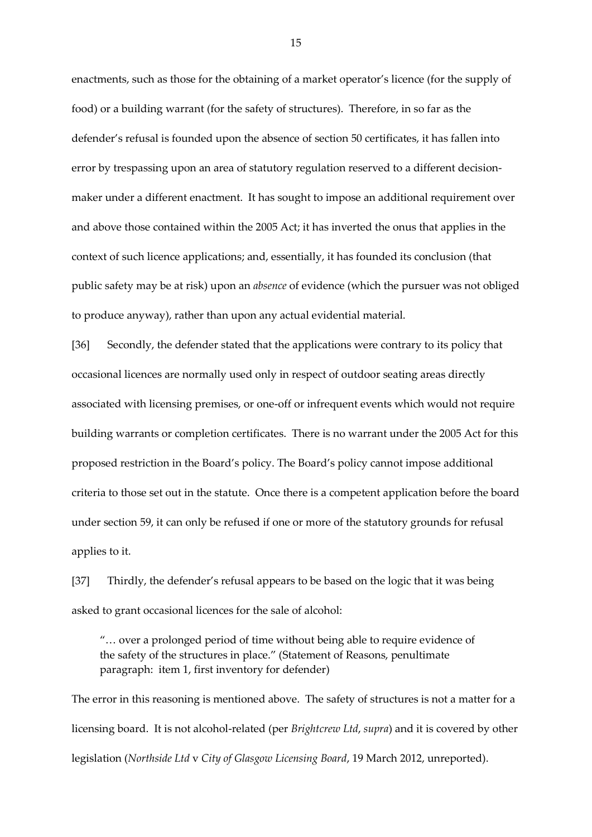enactments, such as those for the obtaining of a market operator's licence (for the supply of food) or a building warrant (for the safety of structures). Therefore, in so far as the defender's refusal is founded upon the absence of section 50 certificates, it has fallen into error by trespassing upon an area of statutory regulation reserved to a different decisionmaker under a different enactment. It has sought to impose an additional requirement over and above those contained within the 2005 Act; it has inverted the onus that applies in the context of such licence applications; and, essentially, it has founded its conclusion (that public safety may be at risk) upon an *absence* of evidence (which the pursuer was not obliged to produce anyway), rather than upon any actual evidential material.

[36] Secondly, the defender stated that the applications were contrary to its policy that occasional licences are normally used only in respect of outdoor seating areas directly associated with licensing premises, or one-off or infrequent events which would not require building warrants or completion certificates. There is no warrant under the 2005 Act for this proposed restriction in the Board's policy. The Board's policy cannot impose additional criteria to those set out in the statute. Once there is a competent application before the board under section 59, it can only be refused if one or more of the statutory grounds for refusal applies to it.

[37] Thirdly, the defender's refusal appears to be based on the logic that it was being asked to grant occasional licences for the sale of alcohol:

"… over a prolonged period of time without being able to require evidence of the safety of the structures in place." (Statement of Reasons, penultimate paragraph: item 1, first inventory for defender)

The error in this reasoning is mentioned above. The safety of structures is not a matter for a licensing board. It is not alcohol-related (per *Brightcrew Ltd*, *supra*) and it is covered by other legislation (*Northside Ltd* v *City of Glasgow Licensing Board*, 19 March 2012, unreported).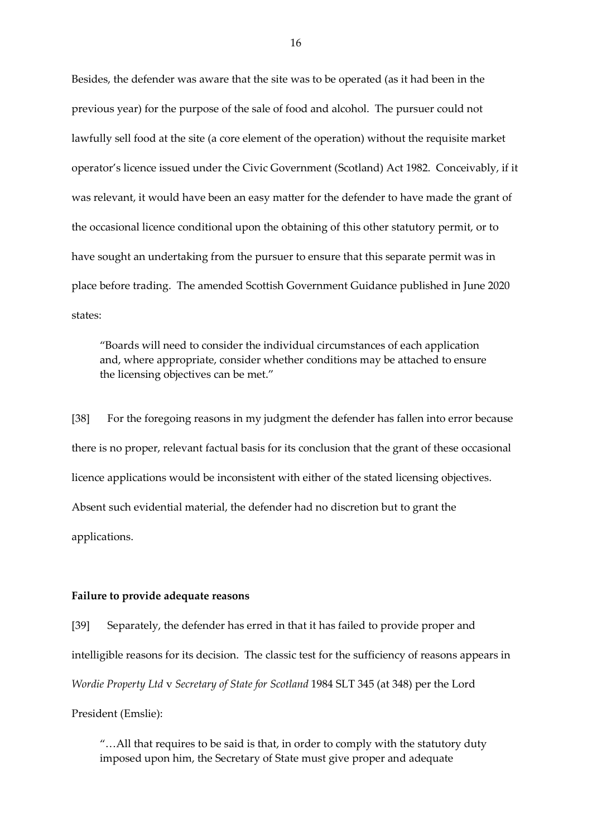Besides, the defender was aware that the site was to be operated (as it had been in the previous year) for the purpose of the sale of food and alcohol. The pursuer could not lawfully sell food at the site (a core element of the operation) without the requisite market operator's licence issued under the Civic Government (Scotland) Act 1982. Conceivably, if it was relevant, it would have been an easy matter for the defender to have made the grant of the occasional licence conditional upon the obtaining of this other statutory permit, or to have sought an undertaking from the pursuer to ensure that this separate permit was in place before trading. The amended Scottish Government Guidance published in June 2020 states:

"Boards will need to consider the individual circumstances of each application and, where appropriate, consider whether conditions may be attached to ensure the licensing objectives can be met."

[38] For the foregoing reasons in my judgment the defender has fallen into error because there is no proper, relevant factual basis for its conclusion that the grant of these occasional licence applications would be inconsistent with either of the stated licensing objectives. Absent such evidential material, the defender had no discretion but to grant the applications.

## **Failure to provide adequate reasons**

[39] Separately, the defender has erred in that it has failed to provide proper and intelligible reasons for its decision. The classic test for the sufficiency of reasons appears in *Wordie Property Ltd* v *Secretary of State for Scotland* 1984 SLT 345 (at 348) per the Lord President (Emslie):

"…All that requires to be said is that, in order to comply with the statutory duty imposed upon him, the Secretary of State must give proper and adequate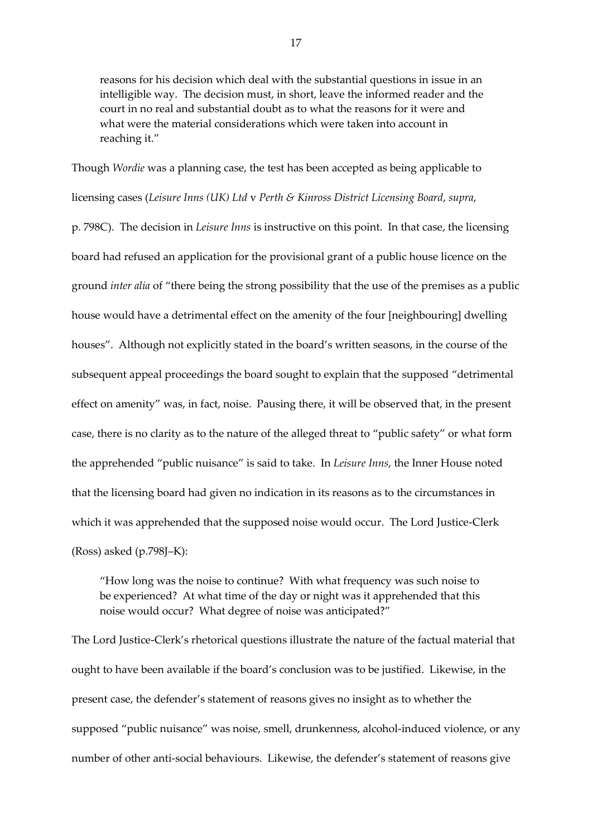reasons for his decision which deal with the substantial questions in issue in an intelligible way. The decision must, in short, leave the informed reader and the court in no real and substantial doubt as to what the reasons for it were and what were the material considerations which were taken into account in reaching it."

Though *Wordie* was a planning case, the test has been accepted as being applicable to licensing cases (*Leisure Inns (UK) Ltd* v *Perth & Kinross District Licensing Board*, *supra*, p. 798C). The decision in *Leisure Inns* is instructive on this point. In that case, the licensing board had refused an application for the provisional grant of a public house licence on the ground *inter alia* of "there being the strong possibility that the use of the premises as a public house would have a detrimental effect on the amenity of the four [neighbouring] dwelling houses". Although not explicitly stated in the board's written seasons, in the course of the subsequent appeal proceedings the board sought to explain that the supposed "detrimental effect on amenity" was, in fact, noise. Pausing there, it will be observed that, in the present case, there is no clarity as to the nature of the alleged threat to "public safety" or what form the apprehended "public nuisance" is said to take. In *Leisure Inns*, the Inner House noted that the licensing board had given no indication in its reasons as to the circumstances in which it was apprehended that the supposed noise would occur. The Lord Justice-Clerk (Ross) asked (p.798J–K):

"How long was the noise to continue? With what frequency was such noise to be experienced? At what time of the day or night was it apprehended that this noise would occur? What degree of noise was anticipated?"

The Lord Justice-Clerk's rhetorical questions illustrate the nature of the factual material that ought to have been available if the board's conclusion was to be justified. Likewise, in the present case, the defender's statement of reasons gives no insight as to whether the supposed "public nuisance" was noise, smell, drunkenness, alcohol-induced violence, or any number of other anti-social behaviours. Likewise, the defender's statement of reasons give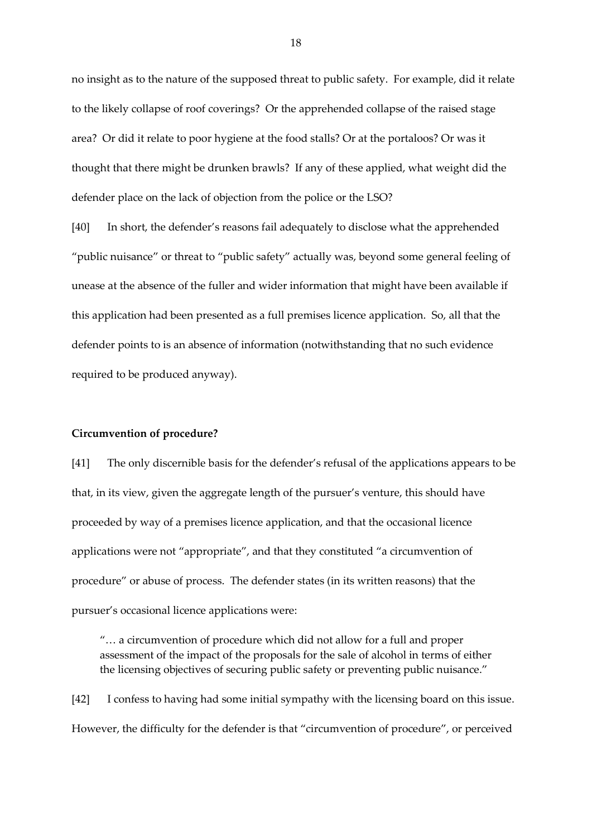no insight as to the nature of the supposed threat to public safety. For example, did it relate to the likely collapse of roof coverings? Or the apprehended collapse of the raised stage area? Or did it relate to poor hygiene at the food stalls? Or at the portaloos? Or was it thought that there might be drunken brawls? If any of these applied, what weight did the defender place on the lack of objection from the police or the LSO?

[40] In short, the defender's reasons fail adequately to disclose what the apprehended "public nuisance" or threat to "public safety" actually was, beyond some general feeling of unease at the absence of the fuller and wider information that might have been available if this application had been presented as a full premises licence application. So, all that the defender points to is an absence of information (notwithstanding that no such evidence required to be produced anyway).

#### **Circumvention of procedure?**

[41] The only discernible basis for the defender's refusal of the applications appears to be that, in its view, given the aggregate length of the pursuer's venture, this should have proceeded by way of a premises licence application, and that the occasional licence applications were not "appropriate", and that they constituted "a circumvention of procedure" or abuse of process. The defender states (in its written reasons) that the pursuer's occasional licence applications were:

"… a circumvention of procedure which did not allow for a full and proper assessment of the impact of the proposals for the sale of alcohol in terms of either the licensing objectives of securing public safety or preventing public nuisance."

[42] I confess to having had some initial sympathy with the licensing board on this issue. However, the difficulty for the defender is that "circumvention of procedure", or perceived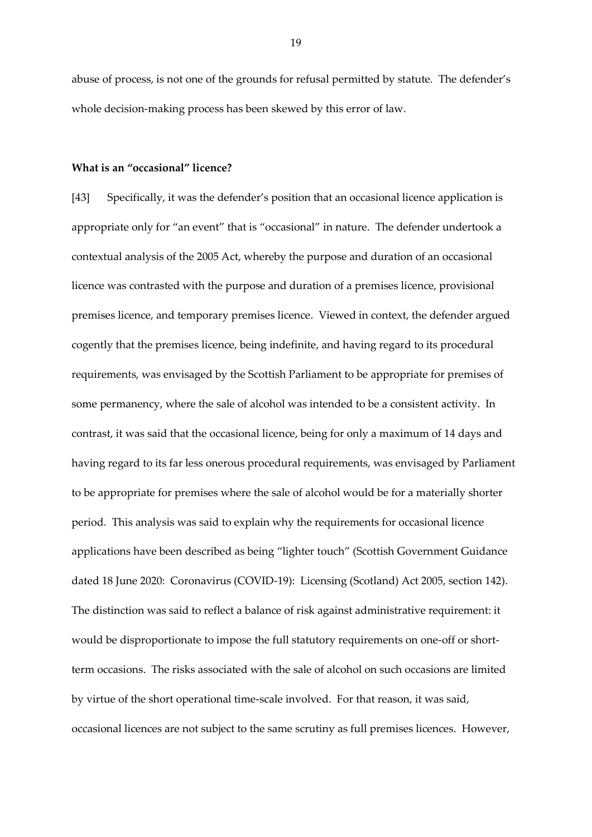abuse of process, is not one of the grounds for refusal permitted by statute. The defender's whole decision-making process has been skewed by this error of law.

#### **What is an "occasional" licence?**

[43] Specifically, it was the defender's position that an occasional licence application is appropriate only for "an event" that is "occasional" in nature. The defender undertook a contextual analysis of the 2005 Act, whereby the purpose and duration of an occasional licence was contrasted with the purpose and duration of a premises licence, provisional premises licence, and temporary premises licence. Viewed in context, the defender argued cogently that the premises licence, being indefinite, and having regard to its procedural requirements, was envisaged by the Scottish Parliament to be appropriate for premises of some permanency, where the sale of alcohol was intended to be a consistent activity. In contrast, it was said that the occasional licence, being for only a maximum of 14 days and having regard to its far less onerous procedural requirements, was envisaged by Parliament to be appropriate for premises where the sale of alcohol would be for a materially shorter period. This analysis was said to explain why the requirements for occasional licence applications have been described as being "lighter touch" (Scottish Government Guidance dated 18 June 2020: Coronavirus (COVID-19): Licensing (Scotland) Act 2005, section 142). The distinction was said to reflect a balance of risk against administrative requirement: it would be disproportionate to impose the full statutory requirements on one-off or shortterm occasions. The risks associated with the sale of alcohol on such occasions are limited by virtue of the short operational time-scale involved. For that reason, it was said, occasional licences are not subject to the same scrutiny as full premises licences. However,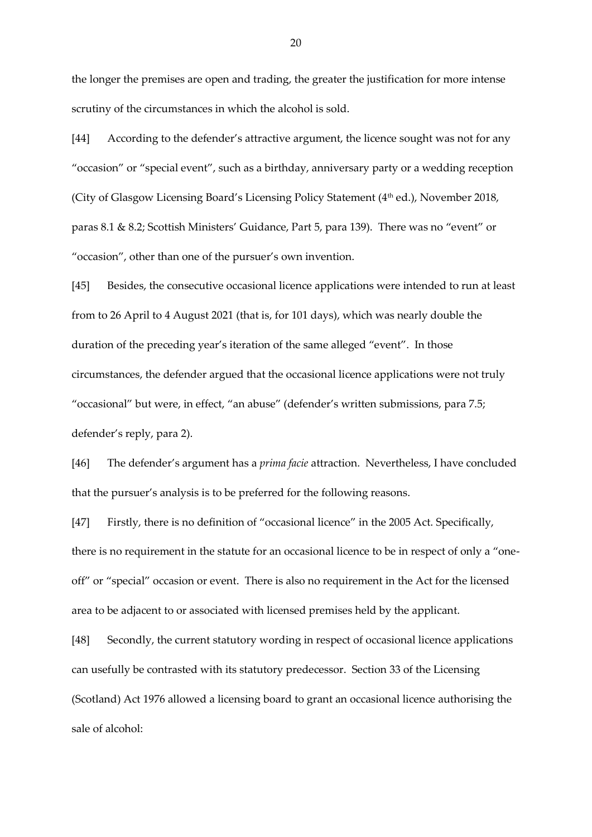the longer the premises are open and trading, the greater the justification for more intense scrutiny of the circumstances in which the alcohol is sold.

[44] According to the defender's attractive argument, the licence sought was not for any "occasion" or "special event", such as a birthday, anniversary party or a wedding reception (City of Glasgow Licensing Board's Licensing Policy Statement  $(4<sup>th</sup>$ ed.), November 2018, paras 8.1 & 8.2; Scottish Ministers' Guidance, Part 5, para 139). There was no "event" or "occasion", other than one of the pursuer's own invention.

[45] Besides, the consecutive occasional licence applications were intended to run at least from to 26 April to 4 August 2021 (that is, for 101 days), which was nearly double the duration of the preceding year's iteration of the same alleged "event". In those circumstances, the defender argued that the occasional licence applications were not truly "occasional" but were, in effect, "an abuse" (defender's written submissions, para 7.5; defender's reply, para 2).

[46] The defender's argument has a *prima facie* attraction. Nevertheless, I have concluded that the pursuer's analysis is to be preferred for the following reasons.

[47] Firstly, there is no definition of "occasional licence" in the 2005 Act. Specifically, there is no requirement in the statute for an occasional licence to be in respect of only a "oneoff" or "special" occasion or event. There is also no requirement in the Act for the licensed area to be adjacent to or associated with licensed premises held by the applicant.

[48] Secondly, the current statutory wording in respect of occasional licence applications can usefully be contrasted with its statutory predecessor. Section 33 of the Licensing (Scotland) Act 1976 allowed a licensing board to grant an occasional licence authorising the sale of alcohol: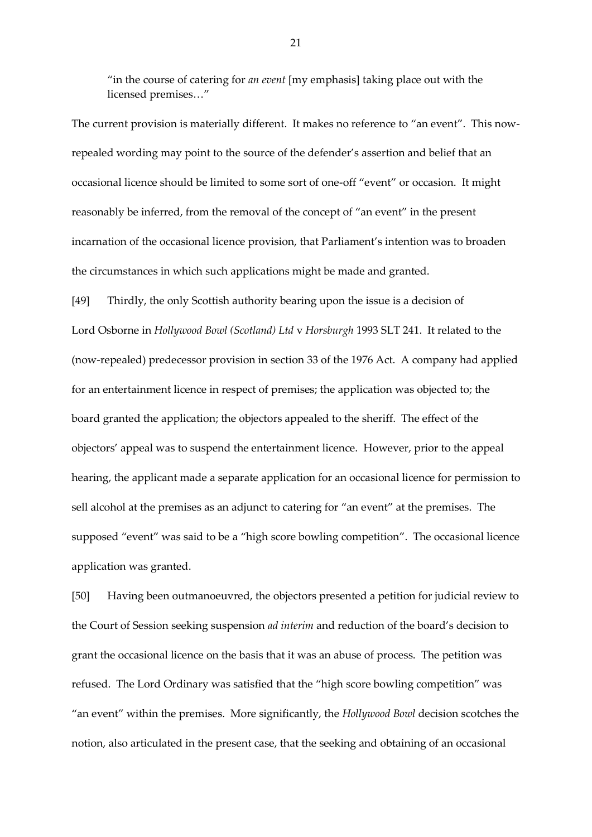"in the course of catering for *an event* [my emphasis] taking place out with the licensed premises…"

The current provision is materially different. It makes no reference to "an event". This nowrepealed wording may point to the source of the defender's assertion and belief that an occasional licence should be limited to some sort of one-off "event" or occasion. It might reasonably be inferred, from the removal of the concept of "an event" in the present incarnation of the occasional licence provision, that Parliament's intention was to broaden the circumstances in which such applications might be made and granted.

[49] Thirdly, the only Scottish authority bearing upon the issue is a decision of Lord Osborne in *Hollywood Bowl (Scotland) Ltd* v *Horsburgh* 1993 SLT 241. It related to the (now-repealed) predecessor provision in section 33 of the 1976 Act. A company had applied for an entertainment licence in respect of premises; the application was objected to; the board granted the application; the objectors appealed to the sheriff. The effect of the objectors' appeal was to suspend the entertainment licence. However, prior to the appeal hearing, the applicant made a separate application for an occasional licence for permission to sell alcohol at the premises as an adjunct to catering for "an event" at the premises. The supposed "event" was said to be a "high score bowling competition". The occasional licence application was granted.

[50] Having been outmanoeuvred, the objectors presented a petition for judicial review to the Court of Session seeking suspension *ad interim* and reduction of the board's decision to grant the occasional licence on the basis that it was an abuse of process. The petition was refused. The Lord Ordinary was satisfied that the "high score bowling competition" was "an event" within the premises. More significantly, the *Hollywood Bowl* decision scotches the notion, also articulated in the present case, that the seeking and obtaining of an occasional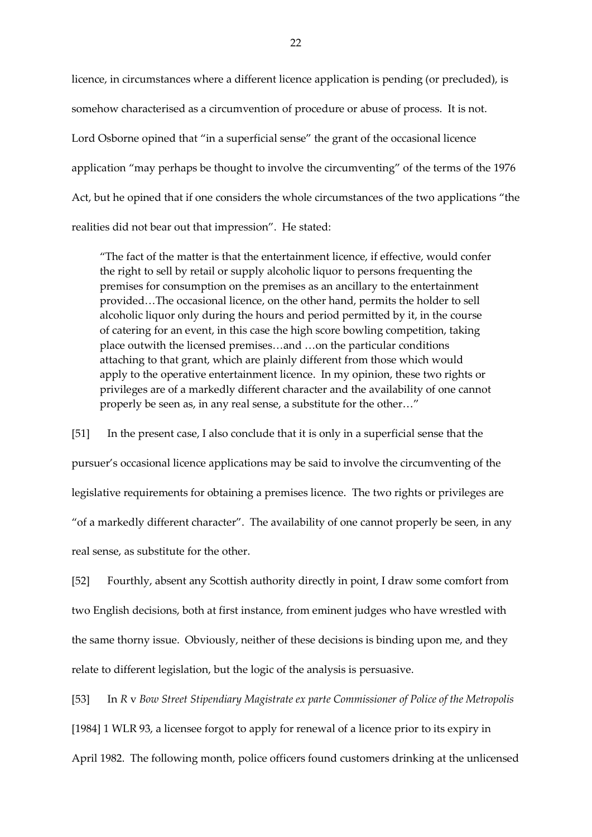licence, in circumstances where a different licence application is pending (or precluded), is somehow characterised as a circumvention of procedure or abuse of process. It is not. Lord Osborne opined that "in a superficial sense" the grant of the occasional licence application "may perhaps be thought to involve the circumventing" of the terms of the 1976 Act, but he opined that if one considers the whole circumstances of the two applications "the realities did not bear out that impression". He stated:

"The fact of the matter is that the entertainment licence, if effective, would confer the right to sell by retail or supply alcoholic liquor to persons frequenting the premises for consumption on the premises as an ancillary to the entertainment provided…The occasional licence, on the other hand, permits the holder to sell alcoholic liquor only during the hours and period permitted by it, in the course of catering for an event, in this case the high score bowling competition, taking place outwith the licensed premises…and …on the particular conditions attaching to that grant, which are plainly different from those which would apply to the operative entertainment licence. In my opinion, these two rights or privileges are of a markedly different character and the availability of one cannot properly be seen as, in any real sense, a substitute for the other…"

[51] In the present case, I also conclude that it is only in a superficial sense that the pursuer's occasional licence applications may be said to involve the circumventing of the legislative requirements for obtaining a premises licence. The two rights or privileges are "of a markedly different character". The availability of one cannot properly be seen, in any real sense, as substitute for the other.

[52] Fourthly, absent any Scottish authority directly in point, I draw some comfort from two English decisions, both at first instance, from eminent judges who have wrestled with the same thorny issue. Obviously, neither of these decisions is binding upon me, and they relate to different legislation, but the logic of the analysis is persuasive.

[53] In *R* v *Bow Street Stipendiary Magistrate ex parte Commissioner of Police of the Metropolis* [1984] 1 WLR 93, a licensee forgot to apply for renewal of a licence prior to its expiry in April 1982. The following month, police officers found customers drinking at the unlicensed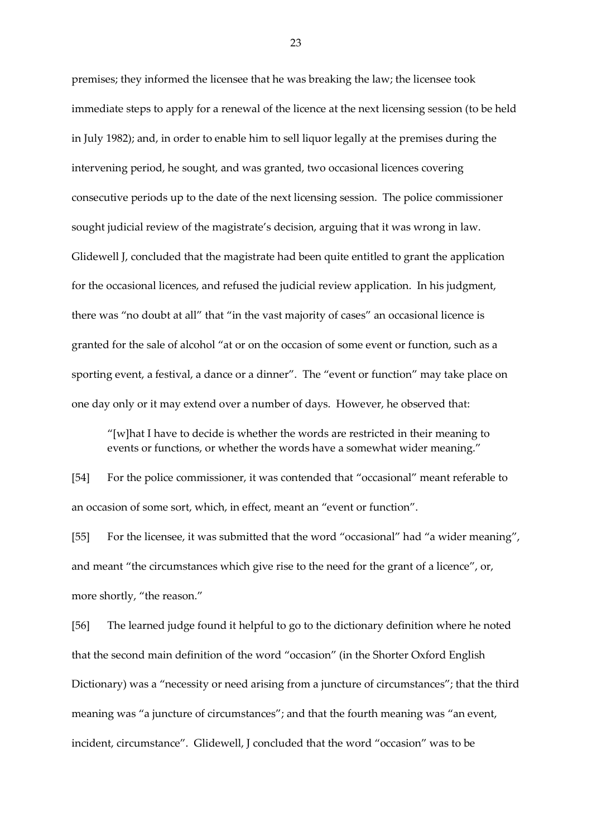premises; they informed the licensee that he was breaking the law; the licensee took immediate steps to apply for a renewal of the licence at the next licensing session (to be held in July 1982); and, in order to enable him to sell liquor legally at the premises during the intervening period, he sought, and was granted, two occasional licences covering consecutive periods up to the date of the next licensing session. The police commissioner sought judicial review of the magistrate's decision, arguing that it was wrong in law. Glidewell J, concluded that the magistrate had been quite entitled to grant the application for the occasional licences, and refused the judicial review application. In his judgment, there was "no doubt at all" that "in the vast majority of cases" an occasional licence is granted for the sale of alcohol "at or on the occasion of some event or function, such as a sporting event, a festival, a dance or a dinner". The "event or function" may take place on one day only or it may extend over a number of days. However, he observed that:

"[w]hat I have to decide is whether the words are restricted in their meaning to events or functions, or whether the words have a somewhat wider meaning."

[54] For the police commissioner, it was contended that "occasional" meant referable to an occasion of some sort, which, in effect, meant an "event or function".

[55] For the licensee, it was submitted that the word "occasional" had "a wider meaning", and meant "the circumstances which give rise to the need for the grant of a licence", or, more shortly, "the reason."

[56] The learned judge found it helpful to go to the dictionary definition where he noted that the second main definition of the word "occasion" (in the Shorter Oxford English Dictionary) was a "necessity or need arising from a juncture of circumstances"; that the third meaning was "a juncture of circumstances"; and that the fourth meaning was "an event, incident, circumstance". Glidewell, J concluded that the word "occasion" was to be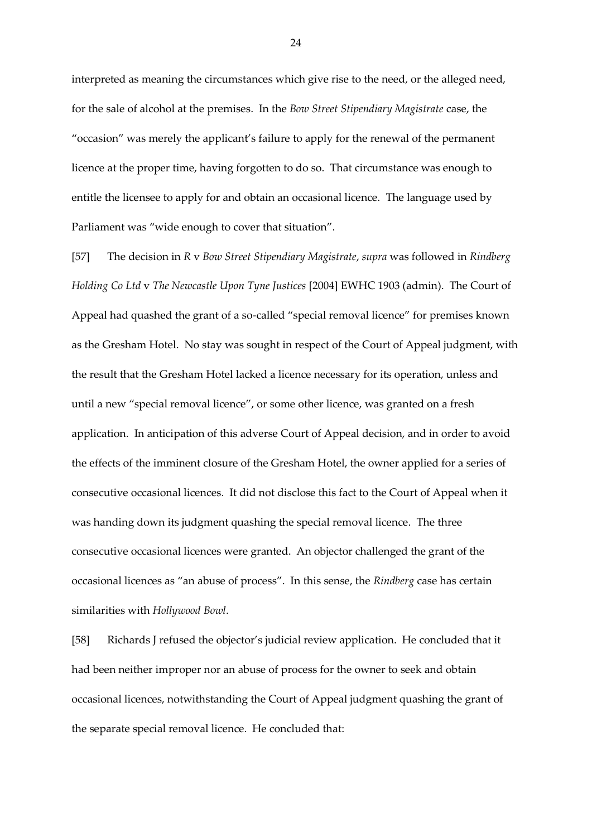interpreted as meaning the circumstances which give rise to the need, or the alleged need, for the sale of alcohol at the premises. In the *Bow Street Stipendiary Magistrate* case, the "occasion" was merely the applicant's failure to apply for the renewal of the permanent licence at the proper time, having forgotten to do so. That circumstance was enough to entitle the licensee to apply for and obtain an occasional licence. The language used by Parliament was "wide enough to cover that situation".

[57] The decision in *R* v *Bow Street Stipendiary Magistrate*, *supra* was followed in *Rindberg Holding Co Ltd* v *The Newcastle Upon Tyne Justices* [2004] EWHC 1903 (admin). The Court of Appeal had quashed the grant of a so-called "special removal licence" for premises known as the Gresham Hotel. No stay was sought in respect of the Court of Appeal judgment, with the result that the Gresham Hotel lacked a licence necessary for its operation, unless and until a new "special removal licence", or some other licence, was granted on a fresh application. In anticipation of this adverse Court of Appeal decision, and in order to avoid the effects of the imminent closure of the Gresham Hotel, the owner applied for a series of consecutive occasional licences. It did not disclose this fact to the Court of Appeal when it was handing down its judgment quashing the special removal licence. The three consecutive occasional licences were granted. An objector challenged the grant of the occasional licences as "an abuse of process". In this sense, the *Rindberg* case has certain similarities with *Hollywood Bowl*.

[58] Richards J refused the objector's judicial review application. He concluded that it had been neither improper nor an abuse of process for the owner to seek and obtain occasional licences, notwithstanding the Court of Appeal judgment quashing the grant of the separate special removal licence. He concluded that: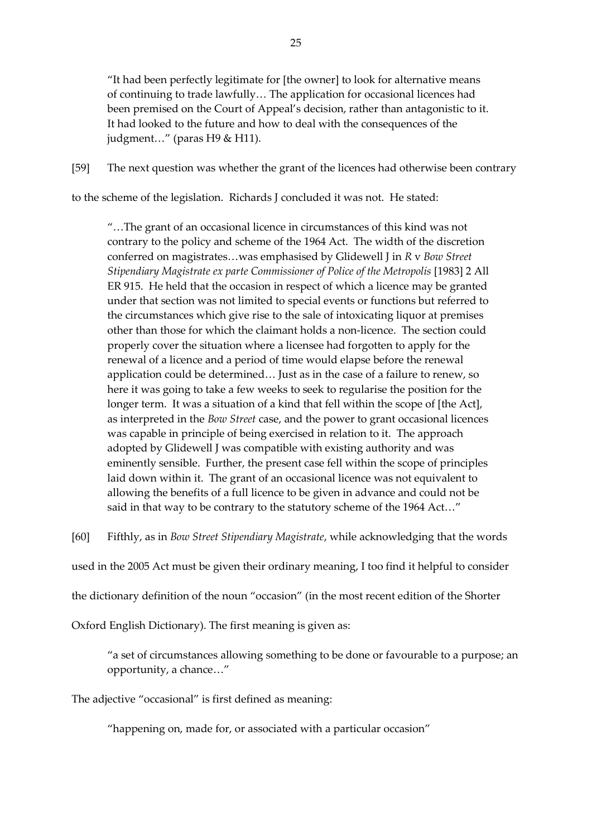"It had been perfectly legitimate for [the owner] to look for alternative means of continuing to trade lawfully… The application for occasional licences had been premised on the Court of Appeal's decision, rather than antagonistic to it. It had looked to the future and how to deal with the consequences of the judgment…" (paras H9 & H11).

[59] The next question was whether the grant of the licences had otherwise been contrary

to the scheme of the legislation. Richards J concluded it was not. He stated:

"…The grant of an occasional licence in circumstances of this kind was not contrary to the policy and scheme of the 1964 Act. The width of the discretion conferred on magistrates…was emphasised by Glidewell J in *R* v *Bow Street Stipendiary Magistrate ex parte Commissioner of Police of the Metropolis* [1983] 2 All ER 915. He held that the occasion in respect of which a licence may be granted under that section was not limited to special events or functions but referred to the circumstances which give rise to the sale of intoxicating liquor at premises other than those for which the claimant holds a non-licence. The section could properly cover the situation where a licensee had forgotten to apply for the renewal of a licence and a period of time would elapse before the renewal application could be determined… Just as in the case of a failure to renew, so here it was going to take a few weeks to seek to regularise the position for the longer term. It was a situation of a kind that fell within the scope of [the Act], as interpreted in the *Bow Street* case, and the power to grant occasional licences was capable in principle of being exercised in relation to it. The approach adopted by Glidewell J was compatible with existing authority and was eminently sensible. Further, the present case fell within the scope of principles laid down within it. The grant of an occasional licence was not equivalent to allowing the benefits of a full licence to be given in advance and could not be said in that way to be contrary to the statutory scheme of the 1964 Act…"

[60] Fifthly, as in *Bow Street Stipendiary Magistrate*, while acknowledging that the words

used in the 2005 Act must be given their ordinary meaning, I too find it helpful to consider

the dictionary definition of the noun "occasion" (in the most recent edition of the Shorter

Oxford English Dictionary). The first meaning is given as:

"a set of circumstances allowing something to be done or favourable to a purpose; an opportunity, a chance…"

The adjective "occasional" is first defined as meaning:

"happening on, made for, or associated with a particular occasion"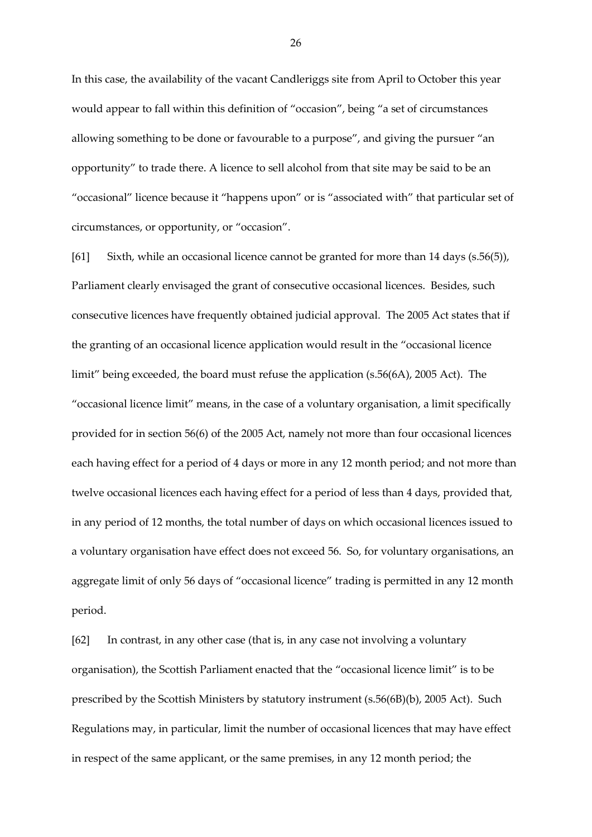In this case, the availability of the vacant Candleriggs site from April to October this year would appear to fall within this definition of "occasion", being "a set of circumstances allowing something to be done or favourable to a purpose", and giving the pursuer "an opportunity" to trade there. A licence to sell alcohol from that site may be said to be an "occasional" licence because it "happens upon" or is "associated with" that particular set of circumstances, or opportunity, or "occasion".

[61] Sixth, while an occasional licence cannot be granted for more than 14 days (s.56(5)), Parliament clearly envisaged the grant of consecutive occasional licences. Besides, such consecutive licences have frequently obtained judicial approval. The 2005 Act states that if the granting of an occasional licence application would result in the "occasional licence limit" being exceeded, the board must refuse the application (s.56(6A), 2005 Act). The "occasional licence limit" means, in the case of a voluntary organisation, a limit specifically provided for in section 56(6) of the 2005 Act, namely not more than four occasional licences each having effect for a period of 4 days or more in any 12 month period; and not more than twelve occasional licences each having effect for a period of less than 4 days, provided that, in any period of 12 months, the total number of days on which occasional licences issued to a voluntary organisation have effect does not exceed 56. So, for voluntary organisations, an aggregate limit of only 56 days of "occasional licence" trading is permitted in any 12 month period.

[62] In contrast, in any other case (that is, in any case not involving a voluntary organisation), the Scottish Parliament enacted that the "occasional licence limit" is to be prescribed by the Scottish Ministers by statutory instrument (s.56(6B)(b), 2005 Act). Such Regulations may, in particular, limit the number of occasional licences that may have effect in respect of the same applicant, or the same premises, in any 12 month period; the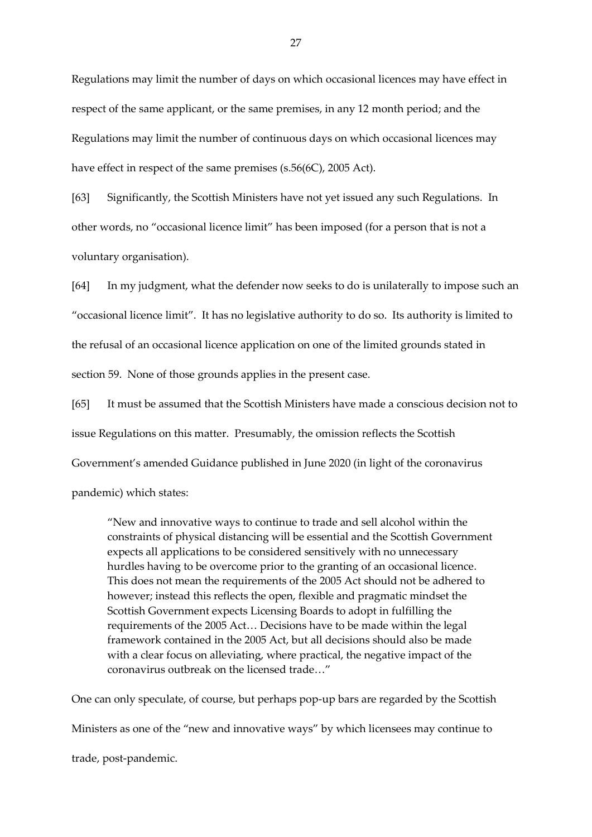Regulations may limit the number of days on which occasional licences may have effect in respect of the same applicant, or the same premises, in any 12 month period; and the Regulations may limit the number of continuous days on which occasional licences may have effect in respect of the same premises (s.56(6C), 2005 Act).

[63] Significantly, the Scottish Ministers have not yet issued any such Regulations. In other words, no "occasional licence limit" has been imposed (for a person that is not a voluntary organisation).

[64] In my judgment, what the defender now seeks to do is unilaterally to impose such an "occasional licence limit". It has no legislative authority to do so. Its authority is limited to the refusal of an occasional licence application on one of the limited grounds stated in section 59. None of those grounds applies in the present case.

[65] It must be assumed that the Scottish Ministers have made a conscious decision not to issue Regulations on this matter. Presumably, the omission reflects the Scottish Government's amended Guidance published in June 2020 (in light of the coronavirus

pandemic) which states:

"New and innovative ways to continue to trade and sell alcohol within the constraints of physical distancing will be essential and the Scottish Government expects all applications to be considered sensitively with no unnecessary hurdles having to be overcome prior to the granting of an occasional licence. This does not mean the requirements of the 2005 Act should not be adhered to however; instead this reflects the open, flexible and pragmatic mindset the Scottish Government expects Licensing Boards to adopt in fulfilling the requirements of the 2005 Act… Decisions have to be made within the legal framework contained in the 2005 Act, but all decisions should also be made with a clear focus on alleviating, where practical, the negative impact of the coronavirus outbreak on the licensed trade…"

One can only speculate, of course, but perhaps pop-up bars are regarded by the Scottish Ministers as one of the "new and innovative ways" by which licensees may continue to trade, post-pandemic.